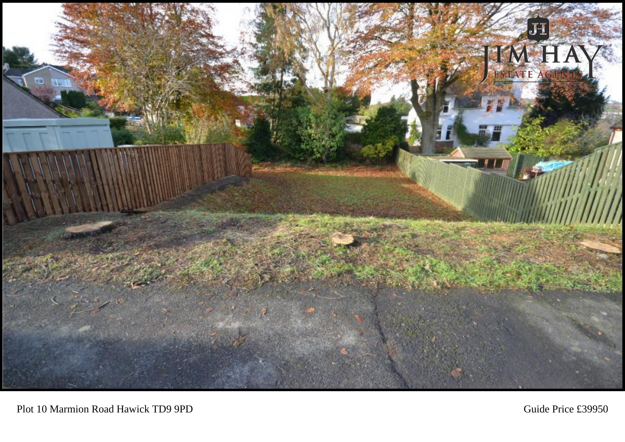

Plot 10 Marmion Road Hawick TD9 9PD Guide Price £39950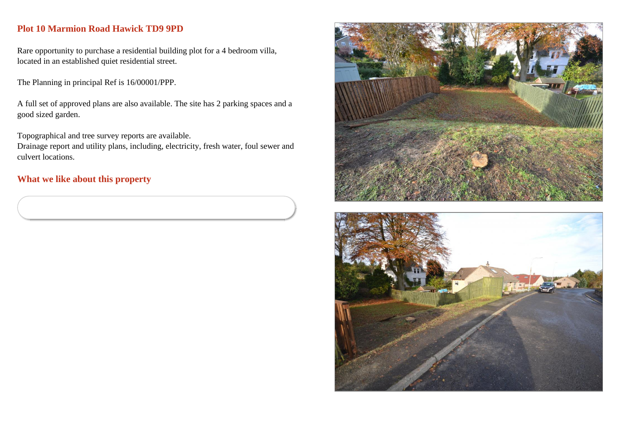## **Plot 10 Marmion Road Hawick TD9 9PD**

Rare opportunity to purchase a residential building plot for a 4 bedroom villa, located in an established quiet residential street.

The Planning in principal Ref is 16/00001/PPP.

A full set of approved plans are also available. The site has 2 parking spaces and a good sized garden.

Topographical and tree survey reports are available.

Drainage report and utility plans, including, electricity, fresh water, foul sewer and culvert locations.

## **What we like about this property**



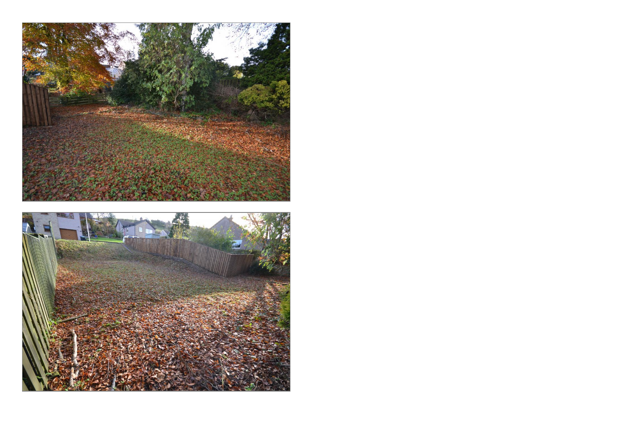